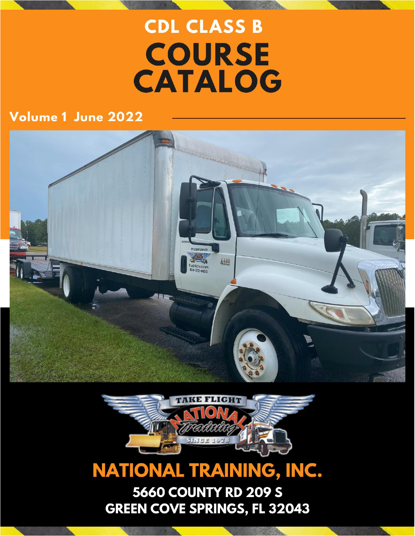# **CDL CLASS B COURSE CATALOG**

### Volume 1 June 2022





## **NATIONAL TRAINING, INC.**

**5660 COUNTY RD 209 S GREEN COVE SPRINGS, FL 32043**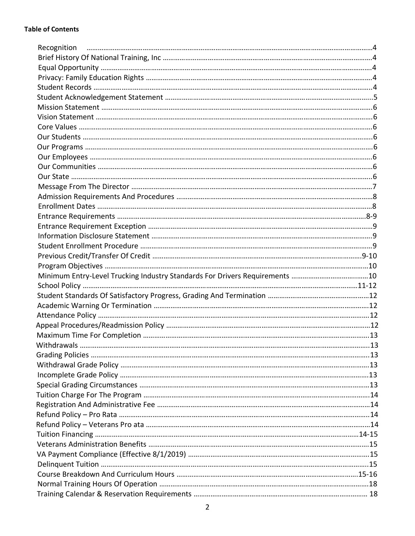| Withdrawals |  |
|-------------|--|
|             |  |
|             |  |
|             |  |
|             |  |
|             |  |
|             |  |
|             |  |
|             |  |
|             |  |
|             |  |
|             |  |
|             |  |
|             |  |
|             |  |
|             |  |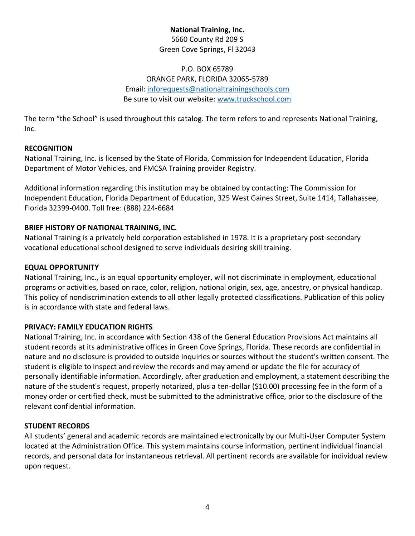#### **National Training, Inc.** 5660 County Rd 209 S Green Cove Springs, Fl 32043

#### P.O. BOX 65789 ORANGE PARK, FLORIDA 32065‐5789 Email: [inforequests@nationaltrainingschools.com](mailto:inforequests@nationaltrainingschools.com)  Be sure to visit our website: [www.truckschool.com](http://www.truckschool.com/)

The term "the School" is used throughout this catalog. The term refers to and represents National Training, Inc.

#### **RECOGNITION**

National Training, Inc. is licensed by the State of Florida, Commission for Independent Education, Florida Department of Motor Vehicles, and FMCSA Training provider Registry.

Additional information regarding this institution may be obtained by contacting: The Commission for Independent Education, Florida Department of Education, 325 West Gaines Street, Suite 1414, Tallahassee, Florida 32399‐0400. Toll free: (888) 224‐6684

#### **BRIEF HISTORY OF NATIONAL TRAINING, INC.**

National Training is a privately held corporation established in 1978. It is a proprietary post-secondary vocational educational school designed to serve individuals desiring skill training.

#### **EQUAL OPPORTUNITY**

National Training, Inc., is an equal opportunity employer, will not discriminate in employment, educational programs or activities, based on race, color, religion, national origin, sex, age, ancestry, or physical handicap. This policy of nondiscrimination extends to all other legally protected classifications. Publication of this policy is in accordance with state and federal laws.

#### **PRIVACY: FAMILY EDUCATION RIGHTS**

National Training, Inc. in accordance with Section 438 of the General Education Provisions Act maintains all student records at its administrative offices in Green Cove Springs, Florida. These records are confidential in nature and no disclosure is provided to outside inquiries or sources without the student's written consent. The student is eligible to inspect and review the records and may amend or update the file for accuracy of personally identifiable information. Accordingly, after graduation and employment, a statement describing the nature of the student's request, properly notarized, plus a ten-dollar (\$10.00) processing fee in the form of a money order or certified check, must be submitted to the administrative office, prior to the disclosure of the relevant confidential information.

#### **STUDENT RECORDS**

All students' general and academic records are maintained electronically by our Multi-User Computer System located at the Administration Office. This system maintains course information, pertinent individual financial records, and personal data for instantaneous retrieval. All pertinent records are available for individual review upon request.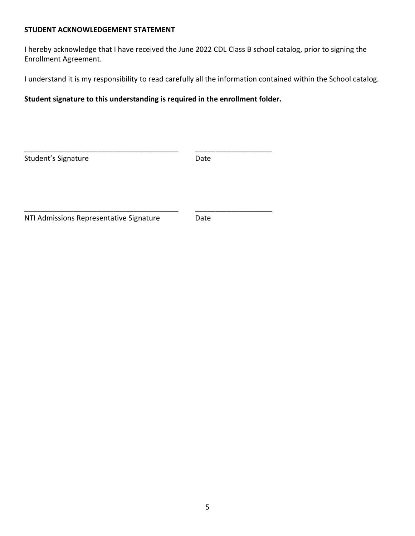#### **STUDENT ACKNOWLEDGEMENT STATEMENT**

I hereby acknowledge that I have received the June 2022 CDL Class B school catalog, prior to signing the Enrollment Agreement.

I understand it is my responsibility to read carefully all the information contained within the School catalog.

**Student signature to this understanding is required in the enrollment folder.** 

| Student's Signature                     | Date |  |
|-----------------------------------------|------|--|
|                                         |      |  |
|                                         |      |  |
| NTI Admissions Representative Signature | Date |  |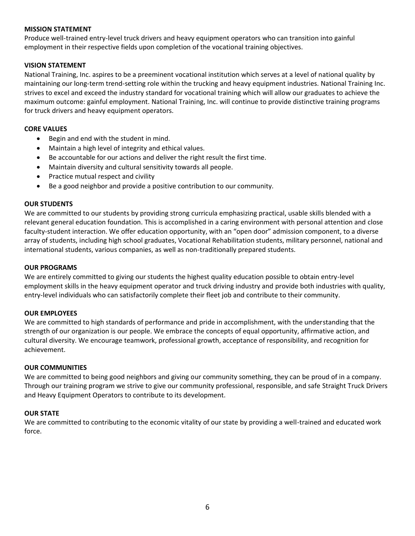#### **MISSION STATEMENT**

Produce well-trained entry-level truck drivers and heavy equipment operators who can transition into gainful employment in their respective fields upon completion of the vocational training objectives.

#### **VISION STATEMENT**

National Training, Inc. aspires to be a preeminent vocational institution which serves at a level of national quality by maintaining our long-term trend-setting role within the trucking and heavy equipment industries. National Training Inc. strives to excel and exceed the industry standard for vocational training which will allow our graduates to achieve the maximum outcome: gainful employment. National Training, Inc. will continue to provide distinctive training programs for truck drivers and heavy equipment operators.

#### **CORE VALUES**

- Begin and end with the student in mind.
- Maintain a high level of integrity and ethical values.
- Be accountable for our actions and deliver the right result the first time.
- Maintain diversity and cultural sensitivity towards all people.
- Practice mutual respect and civility
- Be a good neighbor and provide a positive contribution to our community.

#### **OUR STUDENTS**

We are committed to our students by providing strong curricula emphasizing practical, usable skills blended with a relevant general education foundation. This is accomplished in a caring environment with personal attention and close faculty-student interaction. We offer education opportunity, with an "open door" admission component, to a diverse array of students, including high school graduates, Vocational Rehabilitation students, military personnel, national and international students, various companies, as well as non-traditionally prepared students.

#### **OUR PROGRAMS**

We are entirely committed to giving our students the highest quality education possible to obtain entry-level employment skills in the heavy equipment operator and truck driving industry and provide both industries with quality, entry-level individuals who can satisfactorily complete their fleet job and contribute to their community.

#### **OUR EMPLOYEES**

We are committed to high standards of performance and pride in accomplishment, with the understanding that the strength of our organization is our people. We embrace the concepts of equal opportunity, affirmative action, and cultural diversity. We encourage teamwork, professional growth, acceptance of responsibility, and recognition for achievement.

#### **OUR COMMUNITIES**

We are committed to being good neighbors and giving our community something, they can be proud of in a company. Through our training program we strive to give our community professional, responsible, and safe Straight Truck Drivers and Heavy Equipment Operators to contribute to its development.

#### **OUR STATE**

We are committed to contributing to the economic vitality of our state by providing a well-trained and educated work force.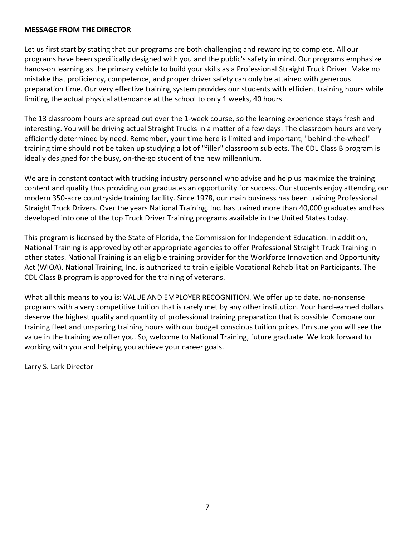#### **MESSAGE FROM THE DIRECTOR**

Let us first start by stating that our programs are both challenging and rewarding to complete. All our programs have been specifically designed with you and the public's safety in mind. Our programs emphasize hands-on learning as the primary vehicle to build your skills as a Professional Straight Truck Driver. Make no mistake that proficiency, competence, and proper driver safety can only be attained with generous preparation time. Our very effective training system provides our students with efficient training hours while limiting the actual physical attendance at the school to only 1 weeks, 40 hours.

The 13 classroom hours are spread out over the 1-week course, so the learning experience stays fresh and interesting. You will be driving actual Straight Trucks in a matter of a few days. The classroom hours are very efficiently determined by need. Remember, your time here is limited and important; "behind-the-wheel" training time should not be taken up studying a lot of "filler" classroom subjects. The CDL Class B program is ideally designed for the busy, on-the-go student of the new millennium.

We are in constant contact with trucking industry personnel who advise and help us maximize the training content and quality thus providing our graduates an opportunity for success. Our students enjoy attending our modern 350-acre countryside training facility. Since 1978, our main business has been training Professional Straight Truck Drivers. Over the years National Training, Inc. has trained more than 40,000 graduates and has developed into one of the top Truck Driver Training programs available in the United States today.

This program is licensed by the State of Florida, the Commission for Independent Education. In addition, National Training is approved by other appropriate agencies to offer Professional Straight Truck Training in other states. National Training is an eligible training provider for the Workforce Innovation and Opportunity Act (WIOA). National Training, Inc. is authorized to train eligible Vocational Rehabilitation Participants. The CDL Class B program is approved for the training of veterans.

What all this means to you is: VALUE AND EMPLOYER RECOGNITION. We offer up to date, no-nonsense programs with a very competitive tuition that is rarely met by any other institution. Your hard-earned dollars deserve the highest quality and quantity of professional training preparation that is possible. Compare our training fleet and unsparing training hours with our budget conscious tuition prices. I'm sure you will see the value in the training we offer you. So, welcome to National Training, future graduate. We look forward to working with you and helping you achieve your career goals.

Larry S. Lark Director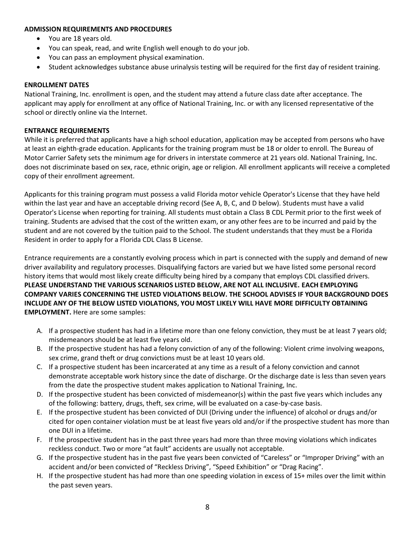#### **ADMISSION REQUIREMENTS AND PROCEDURES**

- You are 18 years old.
- You can speak, read, and write English well enough to do your job.
- You can pass an employment physical examination.
- Student acknowledges substance abuse urinalysis testing will be required for the first day of resident training.

#### **ENROLLMENT DATES**

National Training, Inc. enrollment is open, and the student may attend a future class date after acceptance. The applicant may apply for enrollment at any office of National Training, Inc. or with any licensed representative of the school or directly online via the Internet.

#### **ENTRANCE REQUIREMENTS**

While it is preferred that applicants have a high school education, application may be accepted from persons who have at least an eighth-grade education. Applicants for the training program must be 18 or older to enroll. The Bureau of Motor Carrier Safety sets the minimum age for drivers in interstate commerce at 21 years old. National Training, Inc. does not discriminate based on sex, race, ethnic origin, age or religion. All enrollment applicants will receive a completed copy of their enrollment agreement.

Applicants for this training program must possess a valid Florida motor vehicle Operator's License that they have held within the last year and have an acceptable driving record (See A, B, C, and D below). Students must have a valid Operator's License when reporting for training. All students must obtain a Class B CDL Permit prior to the first week of training. Students are advised that the cost of the written exam, or any other fees are to be incurred and paid by the student and are not covered by the tuition paid to the School. The student understands that they must be a Florida Resident in order to apply for a Florida CDL Class B License.

Entrance requirements are a constantly evolving process which in part is connected with the supply and demand of new driver availability and regulatory processes. Disqualifying factors are varied but we have listed some personal record history items that would most likely create difficulty being hired by a company that employs CDL classified drivers. **PLEASE UNDERSTAND THE VARIOUS SCENARIOS LISTED BELOW, ARE NOT ALL INCLUSIVE. EACH EMPLOYING COMPANY VARIES CONCERNING THE LISTED VIOLATIONS BELOW. THE SCHOOL ADVISES IF YOUR BACKGROUND DOES INCLUDE ANY OF THE BELOW LISTED VIOLATIONS, YOU MOST LIKELY WILL HAVE MORE DIFFICULTY OBTAINING EMPLOYMENT.** Here are some samples:

- A. If a prospective student has had in a lifetime more than one felony conviction, they must be at least 7 years old; misdemeanors should be at least five years old.
- B. If the prospective student has had a felony conviction of any of the following: Violent crime involving weapons, sex crime, grand theft or drug convictions must be at least 10 years old.
- C. If a prospective student has been incarcerated at any time as a result of a felony conviction and cannot demonstrate acceptable work history since the date of discharge. Or the discharge date is less than seven years from the date the prospective student makes application to National Training, Inc.
- D. If the prospective student has been convicted of misdemeanor(s) within the past five years which includes any of the following: battery, drugs, theft, sex crime, will be evaluated on a case-by-case basis.
- E. If the prospective student has been convicted of DUI (Driving under the influence) of alcohol or drugs and/or cited for open container violation must be at least five years old and/or if the prospective student has more than one DUI in a lifetime.
- F. If the prospective student has in the past three years had more than three moving violations which indicates reckless conduct. Two or more "at fault" accidents are usually not acceptable.
- G. If the prospective student has in the past five years been convicted of "Careless" or "Improper Driving" with an accident and/or been convicted of "Reckless Driving", "Speed Exhibition" or "Drag Racing".
- H. If the prospective student has had more than one speeding violation in excess of 15+ miles over the limit within the past seven years.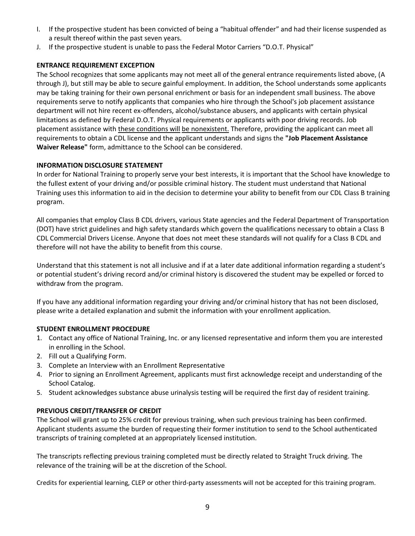- I. If the prospective student has been convicted of being a "habitual offender" and had their license suspended as a result thereof within the past seven years.
- J. If the prospective student is unable to pass the Federal Motor Carriers "D.O.T. Physical"

#### **ENTRANCE REQUIREMENT EXCEPTION**

The School recognizes that some applicants may not meet all of the general entrance requirements listed above, (A through J), but still may be able to secure gainful employment. In addition, the School understands some applicants may be taking training for their own personal enrichment or basis for an independent small business. The above requirements serve to notify applicants that companies who hire through the School's job placement assistance department will not hire recent ex-offenders, alcohol/substance abusers, and applicants with certain physical limitations as defined by Federal D.O.T. Physical requirements or applicants with poor driving records. Job placement assistance with these conditions will be nonexistent. Therefore, providing the applicant can meet all requirements to obtain a CDL license and the applicant understands and signs the **"Job Placement Assistance Waiver Release"** form, admittance to the School can be considered.

#### **INFORMATION DISCLOSURE STATEMENT**

In order for National Training to properly serve your best interests, it is important that the School have knowledge to the fullest extent of your driving and/or possible criminal history. The student must understand that National Training uses this information to aid in the decision to determine your ability to benefit from our CDL Class B training program.

All companies that employ Class B CDL drivers, various State agencies and the Federal Department of Transportation (DOT) have strict guidelines and high safety standards which govern the qualifications necessary to obtain a Class B CDL Commercial Drivers License. Anyone that does not meet these standards will not qualify for a Class B CDL and therefore will not have the ability to benefit from this course.

Understand that this statement is not all inclusive and if at a later date additional information regarding a student's or potential student's driving record and/or criminal history is discovered the student may be expelled or forced to withdraw from the program.

If you have any additional information regarding your driving and/or criminal history that has not been disclosed, please write a detailed explanation and submit the information with your enrollment application.

#### **STUDENT ENROLLMENT PROCEDURE**

- 1. Contact any office of National Training, Inc. or any licensed representative and inform them you are interested in enrolling in the School.
- 2. Fill out a Qualifying Form.
- 3. Complete an Interview with an Enrollment Representative
- 4. Prior to signing an Enrollment Agreement, applicants must first acknowledge receipt and understanding of the School Catalog.
- 5. Student acknowledges substance abuse urinalysis testing will be required the first day of resident training.

#### **PREVIOUS CREDIT/TRANSFER OF CREDIT**

The School will grant up to 25% credit for previous training, when such previous training has been confirmed. Applicant students assume the burden of requesting their former institution to send to the School authenticated transcripts of training completed at an appropriately licensed institution.

The transcripts reflecting previous training completed must be directly related to Straight Truck driving. The relevance of the training will be at the discretion of the School.

Credits for experiential learning, CLEP or other third-party assessments will not be accepted for this training program.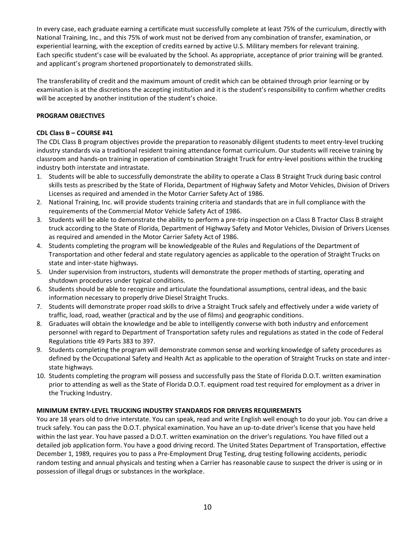In every case, each graduate earning a certificate must successfully complete at least 75% of the curriculum, directly with National Training, Inc., and this 75% of work must not be derived from any combination of transfer, examination, or experiential learning, with the exception of credits earned by active U.S. Military members for relevant training. Each specific student's case will be evaluated by the School. As appropriate, acceptance of prior training will be granted. and applicant's program shortened proportionately to demonstrated skills.

The transferability of credit and the maximum amount of credit which can be obtained through prior learning or by examination is at the discretions the accepting institution and it is the student's responsibility to confirm whether credits will be accepted by another institution of the student's choice.

#### **PROGRAM OBJECTIVES**

#### **CDL Class B – COURSE #41**

The CDL Class B program objectives provide the preparation to reasonably diligent students to meet entry-level trucking industry standards via a traditional resident training attendance format curriculum. Our students will receive training by classroom and hands-on training in operation of combination Straight Truck for entry-level positions within the trucking industry both interstate and intrastate.

- 1. Students will be able to successfully demonstrate the ability to operate a Class B Straight Truck during basic control skills tests as prescribed by the State of Florida, Department of Highway Safety and Motor Vehicles, Division of Drivers Licenses as required and amended in the Motor Carrier Safety Act of 1986.
- 2. National Training, Inc. will provide students training criteria and standards that are in full compliance with the requirements of the Commercial Motor Vehicle Safety Act of 1986.
- 3. Students will be able to demonstrate the ability to perform a pre-trip inspection on a Class B Tractor Class B straight truck according to the State of Florida, Department of Highway Safety and Motor Vehicles, Division of Drivers Licenses as required and amended in the Motor Carrier Safety Act of 1986.
- 4. Students completing the program will be knowledgeable of the Rules and Regulations of the Department of Transportation and other federal and state regulatory agencies as applicable to the operation of Straight Trucks on state and inter-state highways.
- 5. Under supervision from instructors, students will demonstrate the proper methods of starting, operating and shutdown procedures under typical conditions.
- 6. Students should be able to recognize and articulate the foundational assumptions, central ideas, and the basic information necessary to properly drive Diesel Straight Trucks.
- 7. Students will demonstrate proper road skills to drive a Straight Truck safely and effectively under a wide variety of traffic, load, road, weather (practical and by the use of films) and geographic conditions.
- 8. Graduates will obtain the knowledge and be able to intelligently converse with both industry and enforcement personnel with regard to Department of Transportation safety rules and regulations as stated in the code of Federal Regulations title 49 Parts 383 to 397.
- 9. Students completing the program will demonstrate common sense and working knowledge of safety procedures as defined by the Occupational Safety and Health Act as applicable to the operation of Straight Trucks on state and interstate highways.
- 10. Students completing the program will possess and successfully pass the State of Florida D.O.T. written examination prior to attending as well as the State of Florida D.O.T. equipment road test required for employment as a driver in the Trucking Industry.

#### **MINIMUM ENTRY-LEVEL TRUCKING INDUSTRY STANDARDS FOR DRIVERS REQUIREMENTS**

You are 18 years old to drive interstate. You can speak, read and write English well enough to do your job. You can drive a truck safely. You can pass the D.O.T. physical examination. You have an up-to-date driver's license that you have held within the last year. You have passed a D.O.T. written examination on the driver's regulations. You have filled out a detailed job application form. You have a good driving record. The United States Department of Transportation, effective December 1, 1989, requires you to pass a Pre-Employment Drug Testing, drug testing following accidents, periodic random testing and annual physicals and testing when a Carrier has reasonable cause to suspect the driver is using or in possession of illegal drugs or substances in the workplace.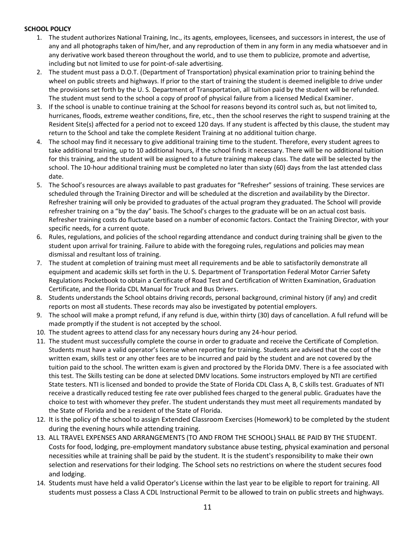#### **SCHOOL POLICY**

- 1. The student authorizes National Training, Inc., its agents, employees, licensees, and successors in interest, the use of any and all photographs taken of him/her, and any reproduction of them in any form in any media whatsoever and in any derivative work based thereon throughout the world, and to use them to publicize, promote and advertise, including but not limited to use for point-of-sale advertising.
- 2. The student must pass a D.O.T. (Department of Transportation) physical examination prior to training behind the wheel on public streets and highways. If prior to the start of training the student is deemed ineligible to drive under the provisions set forth by the U. S. Department of Transportation, all tuition paid by the student will be refunded. The student must send to the school a copy of proof of physical failure from a licensed Medical Examiner.
- 3. If the school is unable to continue training at the School for reasons beyond its control such as, but not limited to, hurricanes, floods, extreme weather conditions, fire, etc., then the school reserves the right to suspend training at the Resident Site(s) affected for a period not to exceed 120 days. If any student is affected by this clause, the student may return to the School and take the complete Resident Training at no additional tuition charge.
- 4. The school may find it necessary to give additional training time to the student. Therefore, every student agrees to take additional training, up to 10 additional hours, if the school finds it necessary. There will be no additional tuition for this training, and the student will be assigned to a future training makeup class. The date will be selected by the school. The 10-hour additional training must be completed no later than sixty (60) days from the last attended class date.
- 5. The School's resources are always available to past graduates for "Refresher" sessions of training. These services are scheduled through the Training Director and will be scheduled at the discretion and availability by the Director. Refresher training will only be provided to graduates of the actual program they graduated. The School will provide refresher training on a "by the day" basis. The School's charges to the graduate will be on an actual cost basis. Refresher training costs do fluctuate based on a number of economic factors. Contact the Training Director, with your specific needs, for a current quote.
- 6. Rules, regulations, and policies of the school regarding attendance and conduct during training shall be given to the student upon arrival for training. Failure to abide with the foregoing rules, regulations and policies may mean dismissal and resultant loss of training.
- 7. The student at completion of training must meet all requirements and be able to satisfactorily demonstrate all equipment and academic skills set forth in the U. S. Department of Transportation Federal Motor Carrier Safety Regulations Pocketbook to obtain a Certificate of Road Test and Certification of Written Examination, Graduation Certificate, and the Florida CDL Manual for Truck and Bus Drivers.
- 8. Students understands the School obtains driving records, personal background, criminal history (if any) and credit reports on most all students. These records may also be investigated by potential employers.
- 9. The school will make a prompt refund, if any refund is due, within thirty (30) days of cancellation. A full refund will be made promptly if the student is not accepted by the school.
- 10. The student agrees to attend class for any necessary hours during any 24-hour period.
- 11. The student must successfully complete the course in order to graduate and receive the Certificate of Completion. Students must have a valid operator's license when reporting for training. Students are advised that the cost of the written exam, skills test or any other fees are to be incurred and paid by the student and are not covered by the tuition paid to the school. The written exam is given and proctored by the Florida DMV. There is a fee associated with this test. The Skills testing can be done at selected DMV locations. Some instructors employed by NTI are certified State testers. NTI is licensed and bonded to provide the State of Florida CDL Class A, B, C skills test. Graduates of NTI receive a drastically reduced testing fee rate over published fees charged to the general public. Graduates have the choice to test with whomever they prefer. The student understands they must meet all requirements mandated by the State of Florida and be a resident of the State of Florida.
- 12. It is the policy of the school to assign Extended Classroom Exercises (Homework) to be completed by the student during the evening hours while attending training.
- 13. ALL TRAVEL EXPENSES AND ARRANGEMENTS (TO AND FROM THE SCHOOL) SHALL BE PAID BY THE STUDENT. Costs for food, lodging, pre-employment mandatory substance abuse testing, physical examination and personal necessities while at training shall be paid by the student. It is the student's responsibility to make their own selection and reservations for their lodging. The School sets no restrictions on where the student secures food and lodging.
- 14. Students must have held a valid Operator's License within the last year to be eligible to report for training. All students must possess a Class A CDL Instructional Permit to be allowed to train on public streets and highways.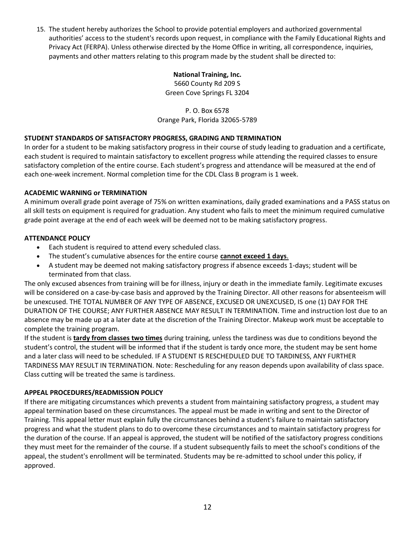15. The student hereby authorizes the School to provide potential employers and authorized governmental authorities' access to the student's records upon request, in compliance with the Family Educational Rights and Privacy Act (FERPA). Unless otherwise directed by the Home Office in writing, all correspondence, inquiries, payments and other matters relating to this program made by the student shall be directed to:

#### **National Training, Inc.**

5660 County Rd 209 S Green Cove Springs FL 3204

P. O. Box 6578 Orange Park, Florida 32065-5789

#### **STUDENT STANDARDS OF SATISFACTORY PROGRESS, GRADING AND TERMINATION**

In order for a student to be making satisfactory progress in their course of study leading to graduation and a certificate, each student is required to maintain satisfactory to excellent progress while attending the required classes to ensure satisfactory completion of the entire course. Each student's progress and attendance will be measured at the end of each one-week increment. Normal completion time for the CDL Class B program is 1 week.

#### **ACADEMIC WARNING or TERMINATION**

A minimum overall grade point average of 75% on written examinations, daily graded examinations and a PASS status on all skill tests on equipment is required for graduation. Any student who fails to meet the minimum required cumulative grade point average at the end of each week will be deemed not to be making satisfactory progress.

#### **ATTENDANCE POLICY**

- Each student is required to attend every scheduled class.
- The student's cumulative absences for the entire course **cannot exceed 1 days**.
- A student may be deemed not making satisfactory progress if absence exceeds 1-days; student will be terminated from that class.

The only excused absences from training will be for illness, injury or death in the immediate family. Legitimate excuses will be considered on a case-by-case basis and approved by the Training Director. All other reasons for absenteeism will be unexcused. THE TOTAL NUMBER OF ANY TYPE OF ABSENCE, EXCUSED OR UNEXCUSED, IS one (1) DAY FOR THE DURATION OF THE COURSE; ANY FURTHER ABSENCE MAY RESULT IN TERMINATION. Time and instruction lost due to an absence may be made up at a later date at the discretion of the Training Director. Makeup work must be acceptable to complete the training program.

If the student is **tardy from classes two times** during training, unless the tardiness was due to conditions beyond the student's control, the student will be informed that if the student is tardy once more, the student may be sent home and a later class will need to be scheduled. IF A STUDENT IS RESCHEDULED DUE TO TARDINESS, ANY FURTHER TARDINESS MAY RESULT IN TERMINATION. Note: Rescheduling for any reason depends upon availability of class space. Class cutting will be treated the same is tardiness.

#### **APPEAL PROCEDURES/READMISSION POLICY**

If there are mitigating circumstances which prevents a student from maintaining satisfactory progress, a student may appeal termination based on these circumstances. The appeal must be made in writing and sent to the Director of Training. This appeal letter must explain fully the circumstances behind a student's failure to maintain satisfactory progress and what the student plans to do to overcome these circumstances and to maintain satisfactory progress for the duration of the course. If an appeal is approved, the student will be notified of the satisfactory progress conditions they must meet for the remainder of the course. If a student subsequently fails to meet the school's conditions of the appeal, the student's enrollment will be terminated. Students may be re-admitted to school under this policy, if approved.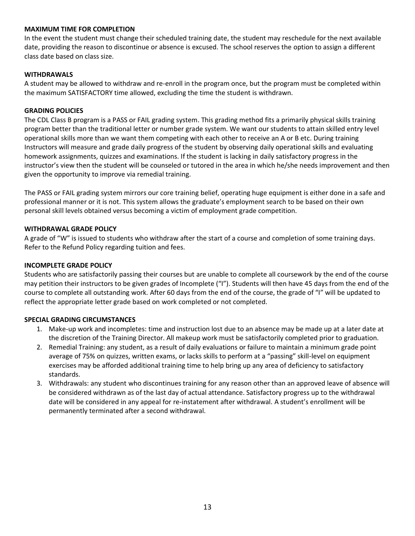#### **MAXIMUM TIME FOR COMPLETION**

In the event the student must change their scheduled training date, the student may reschedule for the next available date, providing the reason to discontinue or absence is excused. The school reserves the option to assign a different class date based on class size.

#### **WITHDRAWALS**

A student may be allowed to withdraw and re-enroll in the program once, but the program must be completed within the maximum SATISFACTORY time allowed, excluding the time the student is withdrawn.

#### **GRADING POLICIES**

The CDL Class B program is a PASS or FAIL grading system. This grading method fits a primarily physical skills training program better than the traditional letter or number grade system. We want our students to attain skilled entry level operational skills more than we want them competing with each other to receive an A or B etc. During training Instructors will measure and grade daily progress of the student by observing daily operational skills and evaluating homework assignments, quizzes and examinations. If the student is lacking in daily satisfactory progress in the instructor's view then the student will be counseled or tutored in the area in which he/she needs improvement and then given the opportunity to improve via remedial training.

The PASS or FAIL grading system mirrors our core training belief, operating huge equipment is either done in a safe and professional manner or it is not. This system allows the graduate's employment search to be based on their own personal skill levels obtained versus becoming a victim of employment grade competition.

#### **WITHDRAWAL GRADE POLICY**

A grade of "W" is issued to students who withdraw after the start of a course and completion of some training days. Refer to the Refund Policy regarding tuition and fees.

#### **INCOMPLETE GRADE POLICY**

Students who are satisfactorily passing their courses but are unable to complete all coursework by the end of the course may petition their instructors to be given grades of Incomplete ("I"). Students will then have 45 days from the end of the course to complete all outstanding work. After 60 days from the end of the course, the grade of "I" will be updated to reflect the appropriate letter grade based on work completed or not completed.

#### **SPECIAL GRADING CIRCUMSTANCES**

- 1. Make-up work and incompletes: time and instruction lost due to an absence may be made up at a later date at the discretion of the Training Director. All makeup work must be satisfactorily completed prior to graduation.
- 2. Remedial Training: any student, as a result of daily evaluations or failure to maintain a minimum grade point average of 75% on quizzes, written exams, or lacks skills to perform at a "passing" skill-level on equipment exercises may be afforded additional training time to help bring up any area of deficiency to satisfactory standards.
- 3. Withdrawals: any student who discontinues training for any reason other than an approved leave of absence will be considered withdrawn as of the last day of actual attendance. Satisfactory progress up to the withdrawal date will be considered in any appeal for re-instatement after withdrawal. A student's enrollment will be permanently terminated after a second withdrawal.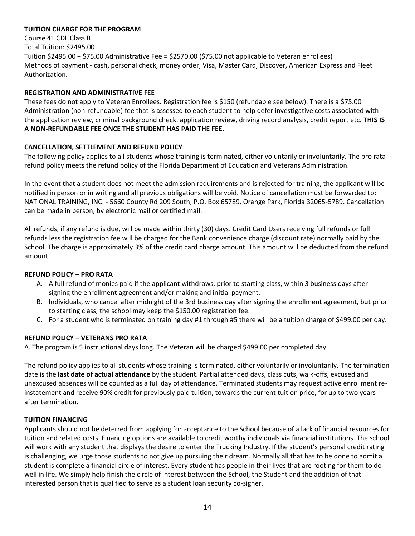#### **TUITION CHARGE FOR THE PROGRAM**

Course 41 CDL Class B Total Tuition: \$2495.00 Tuition \$2495.00 + \$75.00 Administrative Fee = \$2570.00 (\$75.00 not applicable to Veteran enrollees) Methods of payment - cash, personal check, money order, Visa, Master Card, Discover, American Express and Fleet Authorization.

#### **REGISTRATION AND ADMINISTRATIVE FEE**

These fees do not apply to Veteran Enrollees. Registration fee is \$150 (refundable see below). There is a \$75.00 Administration (non-refundable) fee that is assessed to each student to help defer investigative costs associated with the application review, criminal background check, application review, driving record analysis, credit report etc. **THIS IS A NON-REFUNDABLE FEE ONCE THE STUDENT HAS PAID THE FEE.**

#### **CANCELLATION, SETTLEMENT AND REFUND POLICY**

The following policy applies to all students whose training is terminated, either voluntarily or involuntarily. The pro rata refund policy meets the refund policy of the Florida Department of Education and Veterans Administration.

In the event that a student does not meet the admission requirements and is rejected for training, the applicant will be notified in person or in writing and all previous obligations will be void. Notice of cancellation must be forwarded to: NATIONAL TRAINING, INC. - 5660 County Rd 209 South, P.O. Box 65789, Orange Park, Florida 32065-5789. Cancellation can be made in person, by electronic mail or certified mail.

All refunds, if any refund is due, will be made within thirty (30) days. Credit Card Users receiving full refunds or full refunds less the registration fee will be charged for the Bank convenience charge (discount rate) normally paid by the School. The charge is approximately 3% of the credit card charge amount. This amount will be deducted from the refund amount.

#### **REFUND POLICY – PRO RATA**

- A. A full refund of monies paid if the applicant withdraws, prior to starting class, within 3 business days after signing the enrollment agreement and/or making and initial payment.
- B. Individuals, who cancel after midnight of the 3rd business day after signing the enrollment agreement, but prior to starting class, the school may keep the \$150.00 registration fee.
- C. For a student who is terminated on training day #1 through #5 there will be a tuition charge of \$499.00 per day.

#### **REFUND POLICY – VETERANS PRO RATA**

A. The program is 5 instructional days long. The Veteran will be charged \$499.00 per completed day.

The refund policy applies to all students whose training is terminated, either voluntarily or involuntarily. The termination date is the **last date of actual attendance** by the student. Partial attended days, class cuts, walk-offs, excused and unexcused absences will be counted as a full day of attendance. Terminated students may request active enrollment reinstatement and receive 90% credit for previously paid tuition, towards the current tuition price, for up to two years after termination.

#### **TUITION FINANCING**

Applicants should not be deterred from applying for acceptance to the School because of a lack of financial resources for tuition and related costs. Financing options are available to credit worthy individuals via financial institutions. The school will work with any student that displays the desire to enter the Trucking Industry. If the student's personal credit rating is challenging, we urge those students to not give up pursuing their dream. Normally all that has to be done to admit a student is complete a financial circle of interest. Every student has people in their lives that are rooting for them to do well in life. We simply help finish the circle of interest between the School, the Student and the addition of that interested person that is qualified to serve as a student loan security co-signer.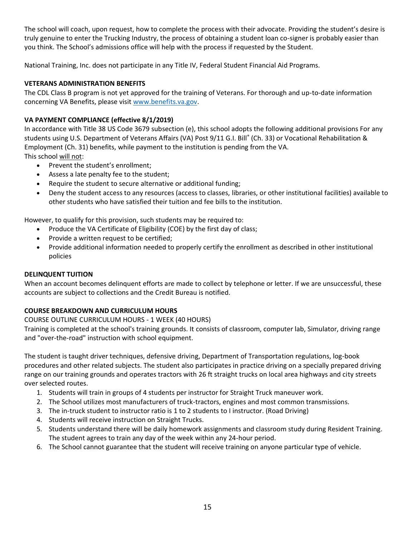The school will coach, upon request, how to complete the process with their advocate. Providing the student's desire is truly genuine to enter the Trucking Industry, the process of obtaining a student loan co-signer is probably easier than you think. The School's admissions office will help with the process if requested by the Student.

National Training, Inc. does not participate in any Title IV, Federal Student Financial Aid Programs.

#### **VETERANS ADMINISTRATION BENEFITS**

The CDL Class B program is not yet approved for the training of Veterans. For thorough and up-to-date information concerning VA Benefits, please visit [www.benefits.va.gov.](http://www.benefits.va.gov/)

#### **VA PAYMENT COMPLIANCE (effective 8/1/2019)**

In accordance with Title 38 US Code 3679 subsection (e), this school adopts the following additional provisions For any students using U.S. Department of Veterans Affairs (VA) Post 9/11 G.I. Bill® (Ch. 33) or Vocational Rehabilitation & Employment (Ch. 31) benefits, while payment to the institution is pending from the VA. This school will not:

- Prevent the student's enrollment;
- Assess a late penalty fee to the student;
- Require the student to secure alternative or additional funding;
- Deny the student access to any resources (access to classes, libraries, or other institutional facilities) available to other students who have satisfied their tuition and fee bills to the institution.

However, to qualify for this provision, such students may be required to:

- Produce the VA Certificate of Eligibility (COE) by the first day of class;
- Provide a written request to be certified;
- Provide additional information needed to properly certify the enrollment as described in other institutional policies

#### **DELINQUENT TUITION**

When an account becomes delinquent efforts are made to collect by telephone or letter. If we are unsuccessful, these accounts are subject to collections and the Credit Bureau is notified.

#### **COURSE BREAKDOWN AND CURRICULUM HOURS**

COURSE OUTLINE CURRICULUM HOURS - 1 WEEK (40 HOURS)

Training is completed at the school's training grounds. It consists of classroom, computer lab, Simulator, driving range and "over-the-road" instruction with school equipment.

The student is taught driver techniques, defensive driving, Department of Transportation regulations, log-book procedures and other related subjects. The student also participates in practice driving on a specially prepared driving range on our training grounds and operates tractors with 26 ft straight trucks on local area highways and city streets over selected routes.

- 1. Students will train in groups of 4 students per instructor for Straight Truck maneuver work.
- 2. The School utilizes most manufacturers of truck-tractors, engines and most common transmissions.
- 3. The in-truck student to instructor ratio is 1 to 2 students to I instructor. (Road Driving)
- 4. Students will receive instruction on Straight Trucks.
- 5. Students understand there will be daily homework assignments and classroom study during Resident Training. The student agrees to train any day of the week within any 24-hour period.
- 6. The School cannot guarantee that the student will receive training on anyone particular type of vehicle.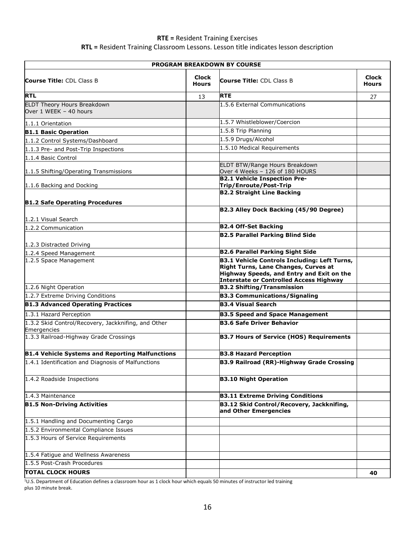#### **RTE =** Resident Training Exercises **RTL =** Resident Training Classroom Lessons. Lesson title indicates lesson description

| PROGRAM BREAKDOWN BY COURSE                                  |                              |                                                                                      |                              |
|--------------------------------------------------------------|------------------------------|--------------------------------------------------------------------------------------|------------------------------|
| <b>Course Title: CDL Class B</b>                             | <b>Clock</b><br><b>Hours</b> | <b>Course Title:</b> CDL Class B                                                     | <b>Clock</b><br><b>Hours</b> |
| <b>RTL</b>                                                   | 13                           | <b>RTE</b>                                                                           | 27                           |
| <b>ELDT Theory Hours Breakdown</b><br>Over 1 WEEK - 40 hours |                              | 1.5.6 External Communications                                                        |                              |
| 1.1.1 Orientation                                            |                              | 1.5.7 Whistleblower/Coercion                                                         |                              |
| <b>B1.1 Basic Operation</b>                                  |                              | 1.5.8 Trip Planning                                                                  |                              |
| 1.1.2 Control Systems/Dashboard                              |                              | 1.5.9 Drugs/Alcohol                                                                  |                              |
| 1.1.3 Pre- and Post-Trip Inspections                         |                              | 1.5.10 Medical Requirements                                                          |                              |
| 1.1.4 Basic Control                                          |                              |                                                                                      |                              |
| 1.1.5 Shifting/Operating Transmissions                       |                              | ELDT BTW/Range Hours Breakdown<br>Over 4 Weeks - 126 of 180 HOURS                    |                              |
|                                                              |                              | <b>B2.1 Vehicle Inspection Pre-</b>                                                  |                              |
| 1.1.6 Backing and Docking                                    |                              | Trip/Enroute/Post-Trip<br><b>B2.2 Straight Line Backing</b>                          |                              |
|                                                              |                              |                                                                                      |                              |
| <b>B1.2 Safe Operating Procedures</b>                        |                              | B2.3 Alley Dock Backing (45/90 Degree)                                               |                              |
| 1.2.1 Visual Search                                          |                              |                                                                                      |                              |
| 1.2.2 Communication                                          |                              | <b>B2.4 Off-Set Backing</b>                                                          |                              |
|                                                              |                              | <b>B2.5 Parallel Parking Blind Side</b>                                              |                              |
| 1.2.3 Distracted Driving                                     |                              |                                                                                      |                              |
| 1.2.4 Speed Management                                       |                              | <b>B2.6 Parallel Parking Sight Side</b>                                              |                              |
| 1.2.5 Space Management                                       |                              | <b>B3.1 Vehicle Controls Including: Left Turns,</b>                                  |                              |
|                                                              |                              | Right Turns, Lane Changes, Curves at                                                 |                              |
|                                                              |                              | Highway Speeds, and Entry and Exit on the<br>Interstate or Controlled Access Highway |                              |
| 1.2.6 Night Operation                                        |                              | <b>B3.2 Shifting/Transmission</b>                                                    |                              |
| 1.2.7 Extreme Driving Conditions                             |                              | <b>B3.3 Communications/Signaling</b>                                                 |                              |
| <b>B1.3 Advanced Operating Practices</b>                     |                              | <b>B3.4 Visual Search</b>                                                            |                              |
| 1.3.1 Hazard Perception                                      |                              | <b>B3.5 Speed and Space Management</b>                                               |                              |
| 1.3.2 Skid Control/Recovery, Jackknifing, and Other          |                              | <b>B3.6 Safe Driver Behavior</b>                                                     |                              |
| Emergencies                                                  |                              |                                                                                      |                              |
| 1.3.3 Railroad-Highway Grade Crossings                       |                              | <b>B3.7 Hours of Service (HOS) Requirements</b>                                      |                              |
| <b>B1.4 Vehicle Systems and Reporting Malfunctions</b>       |                              | <b>B3.8 Hazard Perception</b>                                                        |                              |
| 1.4.1 Identification and Diagnosis of Malfunctions           |                              | <b>B3.9 Railroad (RR)-Highway Grade Crossing</b>                                     |                              |
| 1.4.2 Roadside Inspections                                   |                              | <b>B3.10 Night Operation</b>                                                         |                              |
| 1.4.3 Maintenance                                            |                              | <b>B3.11 Extreme Driving Conditions</b>                                              |                              |
| <b>B1.5 Non-Driving Activities</b>                           |                              | B3.12 Skid Control/Recovery, Jackknifing,<br>and Other Emergencies                   |                              |
| 1.5.1 Handling and Documenting Cargo                         |                              |                                                                                      |                              |
| 1.5.2 Environmental Compliance Issues                        |                              |                                                                                      |                              |
| 1.5.3 Hours of Service Requirements                          |                              |                                                                                      |                              |
|                                                              |                              |                                                                                      |                              |
| 1.5.4 Fatigue and Wellness Awareness                         |                              |                                                                                      |                              |
| 1.5.5 Post-Crash Procedures                                  |                              |                                                                                      |                              |
| <b>TOTAL CLOCK HOURS</b>                                     |                              |                                                                                      | 40                           |

<sup>1</sup>U.S. Department of Education defines a classroom hour as 1 clock hour which equals 50 minutes of instructor led training plus 10 minute break.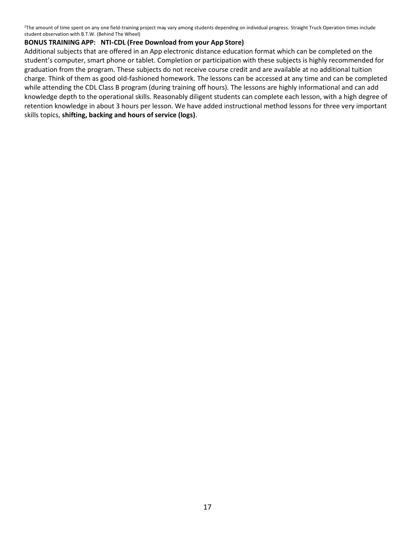<sup>2</sup>The amount of time spent on any one field-training project may vary among students depending on individual progress. Straight Truck Operation times include student observation with B.T.W. (Behind The Wheel)

#### **BONUS TRAINING APP: NTI-CDL (Free Download from your App Store)**

Additional subjects that are offered in an App electronic distance education format which can be completed on the student's computer, smart phone or tablet. Completion or participation with these subjects is highly recommended for graduation from the program. These subjects do not receive course credit and are available at no additional tuition charge. Think of them as good old-fashioned homework. The lessons can be accessed at any time and can be completed while attending the CDL Class B program (during training off hours). The lessons are highly informational and can add knowledge depth to the operational skills. Reasonably diligent students can complete each lesson, with a high degree of retention knowledge in about 3 hours per lesson. We have added instructional method lessons for three very important skills topics, **shifting, backing and hours of service (logs)**.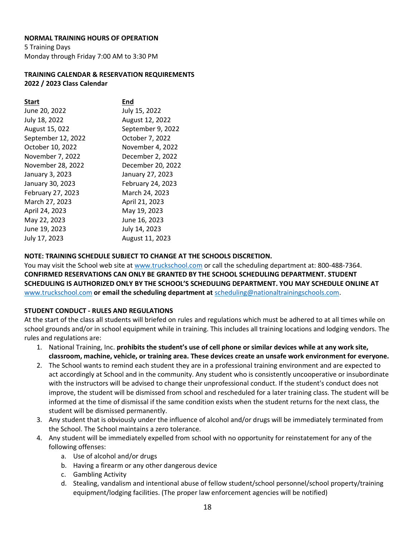#### **NORMAL TRAINING HOURS OF OPERATION**

5 Training Days Monday through Friday 7:00 AM to 3:30 PM

#### **TRAINING CALENDAR & RESERVATION REQUIREMENTS 2022 / 2023 Class Calendar**

| <b>Start</b>       | End               |
|--------------------|-------------------|
| June 20, 2022      | July 15, 2022     |
| July 18, 2022      | August 12, 2022   |
| August 15, 022     | September 9, 2022 |
| September 12, 2022 | October 7, 2022   |
| October 10, 2022   | November 4, 2022  |
| November 7, 2022   | December 2, 2022  |
| November 28, 2022  | December 20, 2022 |
| January 3, 2023    | January 27, 2023  |
| January 30, 2023   | February 24, 2023 |
| February 27, 2023  | March 24, 2023    |
| March 27, 2023     | April 21, 2023    |
| April 24, 2023     | May 19, 2023      |
| May 22, 2023       | June 16, 2023     |
| June 19, 2023      | July 14, 2023     |
| July 17, 2023      | August 11, 2023   |

#### **NOTE: TRAINING SCHEDULE SUBJECT TO CHANGE AT THE SCHOOLS DISCRETION.**

You may visit the School web site at [www.truckschool.com](http://www.truckschool.com/) or call the scheduling department at: 800-488-7364. **CONFIRMED RESERVATIONS CAN ONLY BE GRANTED BY THE SCHOOL SCHEDULING DEPARTMENT. STUDENT SCHEDULING IS AUTHORIZED ONLY BY THE SCHOOL'S SCHEDULING DEPARTMENT. YOU MAY SCHEDULE ONLINE AT** [www.truckschool.com](http://www.truckschool.com/) **or email the scheduling department at** [scheduling@nationaltrainingschools.com.](mailto:scheduling@nationaltrainingschools.com)

#### **STUDENT CONDUCT - RULES AND REGULATIONS**

At the start of the class all students will briefed on rules and regulations which must be adhered to at all times while on school grounds and/or in school equipment while in training. This includes all training locations and lodging vendors. The rules and regulations are:

- 1. National Training, Inc. **prohibits the student's use of cell phone or similar devices while at any work site, classroom, machine, vehicle, or training area. These devices create an unsafe work environment for everyone.**
- 2. The School wants to remind each student they are in a professional training environment and are expected to act accordingly at School and in the community. Any student who is consistently uncooperative or insubordinate with the instructors will be advised to change their unprofessional conduct. If the student's conduct does not improve, the student will be dismissed from school and rescheduled for a later training class. The student will be informed at the time of dismissal if the same condition exists when the student returns for the next class, the student will be dismissed permanently.
- 3. Any student that is obviously under the influence of alcohol and/or drugs will be immediately terminated from the School. The School maintains a zero tolerance.
- 4. Any student will be immediately expelled from school with no opportunity for reinstatement for any of the following offenses:
	- a. Use of alcohol and/or drugs
	- b. Having a firearm or any other dangerous device
	- c. Gambling Activity
	- d. Stealing, vandalism and intentional abuse of fellow student/school personnel/school property/training equipment/lodging facilities. (The proper law enforcement agencies will be notified)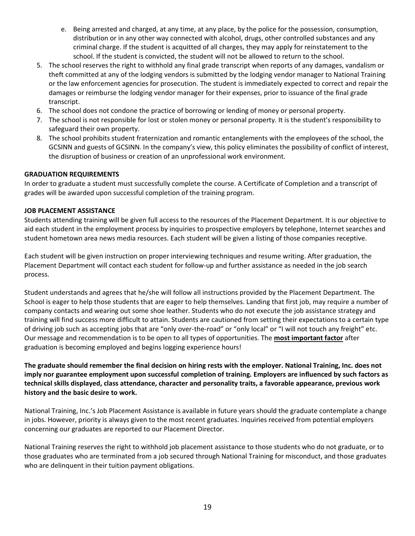- e. Being arrested and charged, at any time, at any place, by the police for the possession, consumption, distribution or in any other way connected with alcohol, drugs, other controlled substances and any criminal charge. If the student is acquitted of all charges, they may apply for reinstatement to the school. If the student is convicted, the student will not be allowed to return to the school.
- 5. The school reserves the right to withhold any final grade transcript when reports of any damages, vandalism or theft committed at any of the lodging vendors is submitted by the lodging vendor manager to National Training or the law enforcement agencies for prosecution. The student is immediately expected to correct and repair the damages or reimburse the lodging vendor manager for their expenses, prior to issuance of the final grade transcript.
- 6. The school does not condone the practice of borrowing or lending of money or personal property.
- 7. The school is not responsible for lost or stolen money or personal property. It is the student's responsibility to safeguard their own property.
- 8. The school prohibits student fraternization and romantic entanglements with the employees of the school, the GCSINN and guests of GCSINN. In the company's view, this policy eliminates the possibility of conflict of interest, the disruption of business or creation of an unprofessional work environment.

#### **GRADUATION REQUIREMENTS**

In order to graduate a student must successfully complete the course. A Certificate of Completion and a transcript of grades will be awarded upon successful completion of the training program.

#### **JOB PLACEMENT ASSISTANCE**

Students attending training will be given full access to the resources of the Placement Department. It is our objective to aid each student in the employment process by inquiries to prospective employers by telephone, Internet searches and student hometown area news media resources. Each student will be given a listing of those companies receptive.

Each student will be given instruction on proper interviewing techniques and resume writing. After graduation, the Placement Department will contact each student for follow-up and further assistance as needed in the job search process.

Student understands and agrees that he/she will follow all instructions provided by the Placement Department. The School is eager to help those students that are eager to help themselves. Landing that first job, may require a number of company contacts and wearing out some shoe leather. Students who do not execute the job assistance strategy and training will find success more difficult to attain. Students are cautioned from setting their expectations to a certain type of driving job such as accepting jobs that are "only over-the-road" or "only local" or "I will not touch any freight" etc. Our message and recommendation is to be open to all types of opportunities. The **most important factor** after graduation is becoming employed and begins logging experience hours!

**The graduate should remember the final decision on hiring rests with the employer. National Training, Inc. does not imply nor guarantee employment upon successful completion of training. Employers are influenced by such factors as technical skills displayed, class attendance, character and personality traits, a favorable appearance, previous work history and the basic desire to work.**

National Training, Inc.'s Job Placement Assistance is available in future years should the graduate contemplate a change in jobs. However, priority is always given to the most recent graduates. Inquiries received from potential employers concerning our graduates are reported to our Placement Director.

National Training reserves the right to withhold job placement assistance to those students who do not graduate, or to those graduates who are terminated from a job secured through National Training for misconduct, and those graduates who are delinquent in their tuition payment obligations.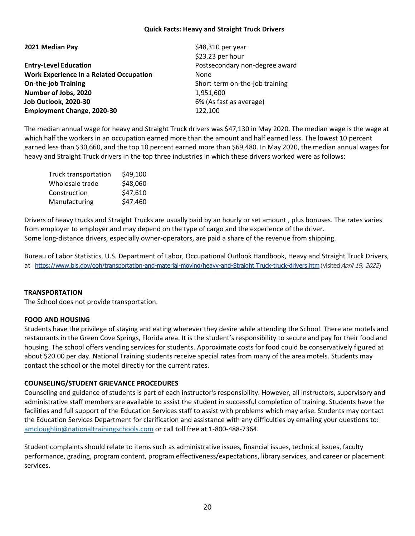#### **Quick Facts: Heavy and Straight Truck Drivers**

|  | 2021 Median Pay |  |
|--|-----------------|--|
|--|-----------------|--|

**Entry-Level Education Example 20 and Separate Algebra 20 and Postsecondary non-degree award Work Experience in a Related Occupation** None **On-the-job Training** Short-term on-the-job training **Number of Jobs, 2020** 1,951,600 **Job Outlook, 2020-30** 6% (As fast as average) **Employment Change, 2020-30** 122,100

**2021 Median Pay** \$48,310 per year \$23.23 per hour

The median annual wage for heavy and Straight Truck drivers was \$47,130 in May 2020. The median wage is the wage at which half the workers in an occupation earned more than the amount and half earned less. The lowest 10 percent earned less than \$30,660, and the top 10 percent earned more than \$69,480. In May 2020, the median annual wages for heavy and Straight Truck drivers in the top three industries in which these drivers worked were as follows:

| Truck transportation | \$49,100 |
|----------------------|----------|
| Wholesale trade      | \$48,060 |
| Construction         | \$47,610 |
| Manufacturing        | \$47.460 |

Drivers of heavy trucks and Straight Trucks are usually paid by an hourly or set amount , plus bonuses. The rates varies from employer to employer and may depend on the type of cargo and the experience of the driver. Some long-distance drivers, especially owner-operators, are paid a share of the revenue from shipping.

Bureau of Labor Statistics, U.S. Department of Labor, Occupational Outlook Handbook, Heavy and Straight Truck Drivers, at  [https://www.bls.gov/ooh/transportation-and-material-moving/heavy-and-Straight Truck-truck-drivers.htm](https://www.bls.gov/ooh/transportation-and-material-moving/heavy-and-tractor-trailer-truck-drivers.htm) (visited April 19, 2022)

#### **TRANSPORTATION**

The School does not provide transportation.

#### **FOOD AND HOUSING**

Students have the privilege of staying and eating wherever they desire while attending the School. There are motels and restaurants in the Green Cove Springs, Florida area. It is the student's responsibility to secure and pay for their food and housing. The school offers vending services for students. Approximate costs for food could be conservatively figured at about \$20.00 per day. National Training students receive special rates from many of the area motels. Students may contact the school or the motel directly for the current rates.

#### **COUNSELING/STUDENT GRIEVANCE PROCEDURES**

Counseling and guidance of students is part of each instructor's responsibility. However, all instructors, supervisory and administrative staff members are available to assist the student in successful completion of training. Students have the facilities and full support of the Education Services staff to assist with problems which may arise. Students may contact the Education Services Department for clarification and assistance with any difficulties by emailing your questions to: [amcloughlin@nationaltrainingschools.com](mailto:amcloughlin@nationaltrainingschools.com) or call toll free at 1-800-488-7364.

Student complaints should relate to items such as administrative issues, financial issues, technical issues, faculty performance, grading, program content, program effectiveness/expectations, library services, and career or placement services.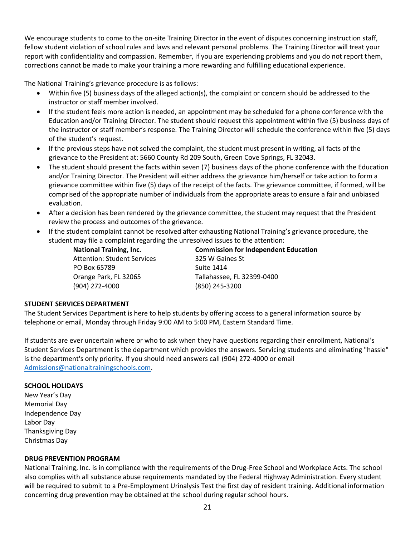We encourage students to come to the on-site Training Director in the event of disputes concerning instruction staff, fellow student violation of school rules and laws and relevant personal problems. The Training Director will treat your report with confidentiality and compassion. Remember, if you are experiencing problems and you do not report them, corrections cannot be made to make your training a more rewarding and fulfilling educational experience.

The National Training's grievance procedure is as follows:

- Within five (5) business days of the alleged action(s), the complaint or concern should be addressed to the instructor or staff member involved.
- If the student feels more action is needed, an appointment may be scheduled for a phone conference with the Education and/or Training Director. The student should request this appointment within five (5) business days of the instructor or staff member's response. The Training Director will schedule the conference within five (5) days of the student's request.
- If the previous steps have not solved the complaint, the student must present in writing, all facts of the grievance to the President at: 5660 County Rd 209 South, Green Cove Springs, FL 32043.
- The student should present the facts within seven (7) business days of the phone conference with the Education and/or Training Director. The President will either address the grievance him/herself or take action to form a grievance committee within five (5) days of the receipt of the facts. The grievance committee, if formed, will be comprised of the appropriate number of individuals from the appropriate areas to ensure a fair and unbiased evaluation.
- After a decision has been rendered by the grievance committee, the student may request that the President review the process and outcomes of the grievance.
- If the student complaint cannot be resolved after exhausting National Training's grievance procedure, the student may file a complaint regarding the unresolved issues to the attention:

Attention: Student Services 325 W Gaines St PO Box 65789 Suite 1414 (904) 272-4000 (850) 245-3200

**National Training, Inc. Commission for Independent Education** Orange Park, FL 32065 Tallahassee, FL 32399-0400

#### **STUDENT SERVICES DEPARTMENT**

The Student Services Department is here to help students by offering access to a general information source by telephone or email, Monday through Friday 9:00 AM to 5:00 PM, Eastern Standard Time.

If students are ever uncertain where or who to ask when they have questions regarding their enrollment, National's Student Services Department is the department which provides the answers. Servicing students and eliminating "hassle" is the department's only priority. If you should need answers call (904) 272-4000 or email [Admissions@nationaltrainingschools.com.](mailto:Admissions@nationaltrainingschools.com)

#### **SCHOOL HOLIDAYS**

New Year's Day Memorial Day Independence Day Labor Day Thanksgiving Day Christmas Day

#### **DRUG PREVENTION PROGRAM**

National Training, Inc. is in compliance with the requirements of the Drug-Free School and Workplace Acts. The school also complies with all substance abuse requirements mandated by the Federal Highway Administration. Every student will be required to submit to a Pre-Employment Urinalysis Test the first day of resident training. Additional information concerning drug prevention may be obtained at the school during regular school hours.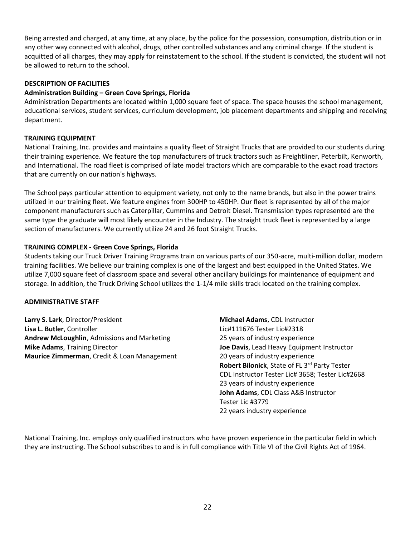Being arrested and charged, at any time, at any place, by the police for the possession, consumption, distribution or in any other way connected with alcohol, drugs, other controlled substances and any criminal charge. If the student is acquitted of all charges, they may apply for reinstatement to the school. If the student is convicted, the student will not be allowed to return to the school.

#### **DESCRIPTION OF FACILITIES**

#### **Administration Building – Green Cove Springs, Florida**

Administration Departments are located within 1,000 square feet of space. The space houses the school management, educational services, student services, curriculum development, job placement departments and shipping and receiving department.

#### **TRAINING EQUIPMENT**

National Training, Inc. provides and maintains a quality fleet of Straight Trucks that are provided to our students during their training experience. We feature the top manufacturers of truck tractors such as Freightliner, Peterbilt, Kenworth, and International. The road fleet is comprised of late model tractors which are comparable to the exact road tractors that are currently on our nation's highways.

The School pays particular attention to equipment variety, not only to the name brands, but also in the power trains utilized in our training fleet. We feature engines from 300HP to 450HP. Our fleet is represented by all of the major component manufacturers such as Caterpillar, Cummins and Detroit Diesel. Transmission types represented are the same type the graduate will most likely encounter in the Industry. The straight truck fleet is represented by a large section of manufacturers. We currently utilize 24 and 26 foot Straight Trucks.

#### **TRAINING COMPLEX - Green Cove Springs, Florida**

Students taking our Truck Driver Training Programs train on various parts of our 350-acre, multi-million dollar, modern training facilities. We believe our training complex is one of the largest and best equipped in the United States. We utilize 7,000 square feet of classroom space and several other ancillary buildings for maintenance of equipment and storage. In addition, the Truck Driving School utilizes the 1-1/4 mile skills track located on the training complex.

#### **ADMINISTRATIVE STAFF**

**Larry S. Lark**, Director/President **Michael Adams**, CDL Instructor **Lisa L. Butler**, Controller Licharger Licharger Licharger Licharger Licharger Licharger Licharger Licharger Lich **Andrew McLoughlin**, Admissions and Marketing 25 years of industry experience **Mike Adams**, Training Director **Joe Davis**, Lead Heavy Equipment Instructor **Maurice Zimmerman**, Credit & Loan Management 20 years of industry experience

**Robert Bilonick**, State of FL 3rd Party Tester CDL Instructor Tester Lic# 3658; Tester Lic#2668 23 years of industry experience **John Adams**, CDL Class A&B Instructor Tester Lic #3779 22 years industry experience

National Training, Inc. employs only qualified instructors who have proven experience in the particular field in which they are instructing. The School subscribes to and is in full compliance with Title VI of the Civil Rights Act of 1964.